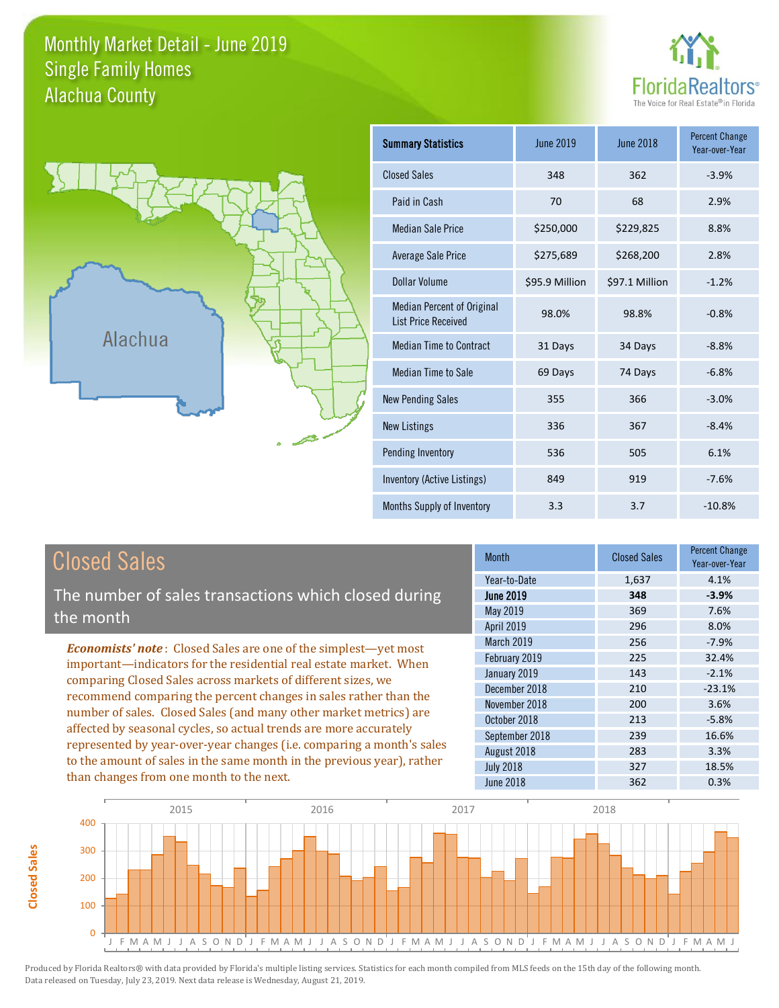### Monthly Market Detail - June 2019 Alachua County Single Family Homes





| <b>Summary Statistics</b>                                       | <b>June 2019</b> | <b>June 2018</b> | <b>Percent Change</b><br>Year-over-Year |
|-----------------------------------------------------------------|------------------|------------------|-----------------------------------------|
| <b>Closed Sales</b>                                             | 348              | 362              | $-3.9%$                                 |
| Paid in Cash                                                    | 70               | 68               | 2.9%                                    |
| <b>Median Sale Price</b>                                        | \$250,000        | \$229,825        | 8.8%                                    |
| <b>Average Sale Price</b>                                       | \$275,689        | \$268,200        | 2.8%                                    |
| Dollar Volume                                                   | \$95.9 Million   | \$97.1 Million   | $-1.2%$                                 |
| <b>Median Percent of Original</b><br><b>List Price Received</b> | 98.0%            | 98.8%            | $-0.8%$                                 |
| <b>Median Time to Contract</b>                                  | 31 Days          | 34 Days          | $-8.8%$                                 |
| <b>Median Time to Sale</b>                                      | 69 Days          | 74 Days          | $-6.8%$                                 |
| <b>New Pending Sales</b>                                        | 355              | 366              | $-3.0%$                                 |
| <b>New Listings</b>                                             | 336              | 367              | $-8.4%$                                 |
| Pending Inventory                                               | 536              | 505              | 6.1%                                    |
| Inventory (Active Listings)                                     | 849              | 919              | $-7.6%$                                 |
| Months Supply of Inventory                                      | 3.3              | 3.7              | $-10.8%$                                |

| <b>Closed Sales</b> |
|---------------------|
|---------------------|

The number of sales transactions which closed during the month

*Economists' note* : Closed Sales are one of the simplest—yet most important—indicators for the residential real estate market. When comparing Closed Sales across markets of different sizes, we recommend comparing the percent changes in sales rather than the number of sales. Closed Sales (and many other market metrics) are affected by seasonal cycles, so actual trends are more accurately represented by year-over-year changes (i.e. comparing a month's sales to the amount of sales in the same month in the previous year), rather than changes from one month to the next.

| <b>Month</b>     | <b>Closed Sales</b> | <b>Percent Change</b><br>Year-over-Year |
|------------------|---------------------|-----------------------------------------|
| Year-to-Date     | 1,637               | 4.1%                                    |
| <b>June 2019</b> | 348                 | $-3.9%$                                 |
| <b>May 2019</b>  | 369                 | 7.6%                                    |
| April 2019       | 296                 | 8.0%                                    |
| March 2019       | 256                 | $-7.9%$                                 |
| February 2019    | 225                 | 32.4%                                   |
| January 2019     | 143                 | $-2.1%$                                 |
| December 2018    | 210                 | $-23.1%$                                |
| November 2018    | 200                 | 3.6%                                    |
| October 2018     | 213                 | $-5.8%$                                 |
| September 2018   | 239                 | 16.6%                                   |
| August 2018      | 283                 | 3.3%                                    |
| <b>July 2018</b> | 327                 | 18.5%                                   |
| <b>June 2018</b> | 362                 | 0.3%                                    |

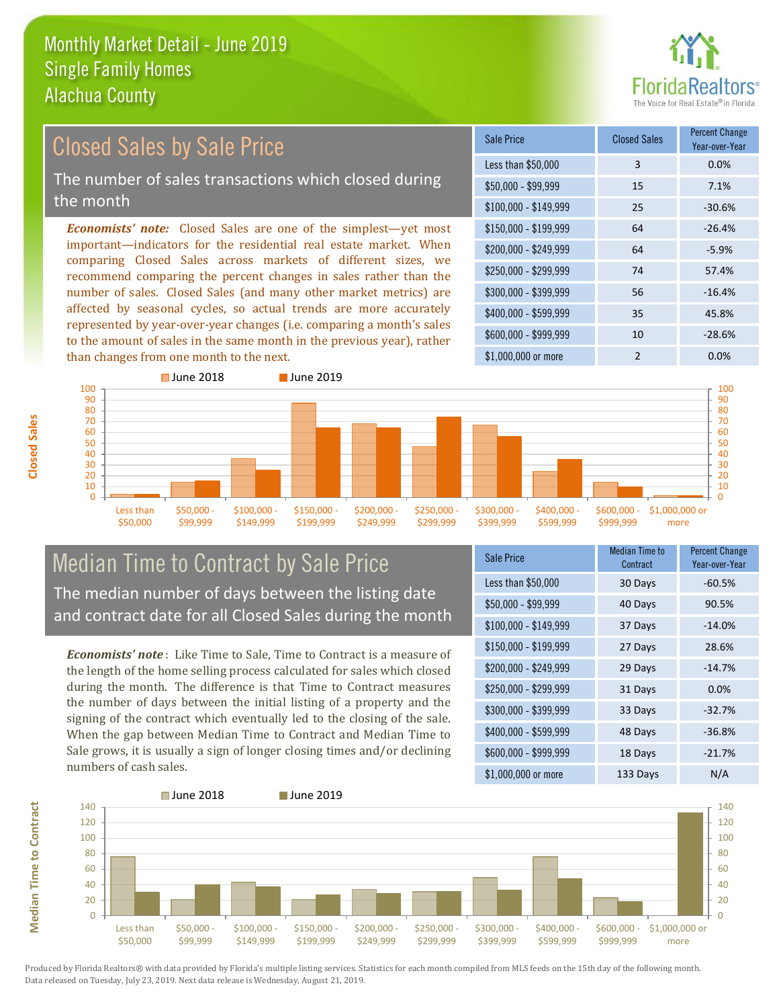

### *Economists' note:* Closed Sales are one of the simplest—yet most important—indicators for the residential real estate market. When comparing Closed Sales across markets of different sizes, we recommend comparing the percent changes in sales rather than the number of sales. Closed Sales (and many other market metrics) are affected by seasonal cycles, so actual trends are more accurately represented by year-over-year changes (i.e. comparing a month's sales to the amount of sales in the same month in the previous year), rather \$250,000 - \$299,999 74 57.4% \$300,000 - \$399,999 56 -16.4% \$400,000 - \$599,999 35 45.8% \$600,000 - \$999,999 10 -28.6% \$150,000 - \$199,999 64 -26.4%  $$200.000 - $249.999$  64 -5.9% \$100,000 - \$149,999 25 -30.6% Sale Price Closed Sales Percent Change Year-over-Year Less than \$50,000 3 0.0%  $$50,000 - $99,999$  15 7.1% Closed Sales by Sale Price The number of sales transactions which closed during the month



## Median Time to Contract by Sale Price The median number of days between the listing date and contract date for all Closed Sales during the month

*Economists' note* : Like Time to Sale, Time to Contract is a measure of the length of the home selling process calculated for sales which closed during the month. The difference is that Time to Contract measures the number of days between the initial listing of a property and the signing of the contract which eventually led to the closing of the sale. When the gap between Median Time to Contract and Median Time to Sale grows, it is usually a sign of longer closing times and/or declining numbers of cash sales.

| <b>Sale Price</b>     | <b>Median Time to</b><br>Contract | <b>Percent Change</b><br>Year-over-Year |
|-----------------------|-----------------------------------|-----------------------------------------|
| Less than \$50,000    | 30 Days                           | $-60.5%$                                |
| $$50,000 - $99,999$   | 40 Days                           | 90.5%                                   |
| $$100,000 - $149,999$ | 37 Days                           | $-14.0%$                                |
| $$150,000 - $199,999$ | 27 Days                           | 28.6%                                   |
| \$200,000 - \$249,999 | 29 Days                           | $-14.7%$                                |
| \$250,000 - \$299,999 | 31 Days                           | 0.0%                                    |
| \$300,000 - \$399,999 | 33 Days                           | $-32.7%$                                |
| \$400,000 - \$599,999 | 48 Days                           | $-36.8%$                                |
| \$600,000 - \$999,999 | 18 Days                           | $-21.7%$                                |
| \$1,000,000 or more   | 133 Days                          | N/A                                     |

\$1,000,000 or more 2 0.0%

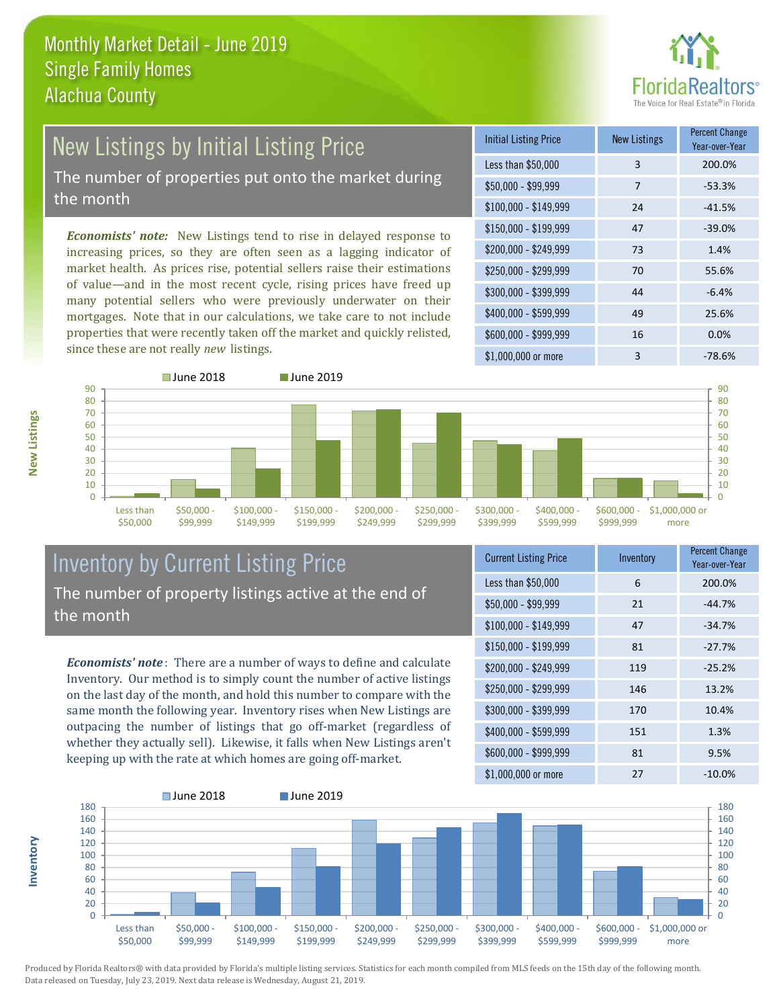

## New Listings by Initial Listing Price The number of properties put onto the market during

the month

*Economists' note:* New Listings tend to rise in delayed response to increasing prices, so they are often seen as a lagging indicator of market health. As prices rise, potential sellers raise their estimations of value—and in the most recent cycle, rising prices have freed up many potential sellers who were previously underwater on their mortgages. Note that in our calculations, we take care to not include properties that were recently taken off the market and quickly relisted, since these are not really *new* listings.

| <b>Initial Listing Price</b> | <b>New Listings</b> | <b>Percent Change</b><br>Year-over-Year |
|------------------------------|---------------------|-----------------------------------------|
| Less than \$50,000           | 3                   | 200.0%                                  |
| $$50,000 - $99,999$          | 7                   | $-53.3%$                                |
| $$100,000 - $149,999$        | 24                  | $-41.5%$                                |
| $$150,000 - $199,999$        | 47                  | $-39.0%$                                |
| \$200,000 - \$249,999        | 73                  | 1.4%                                    |
| \$250,000 - \$299,999        | 70                  | 55.6%                                   |
| \$300,000 - \$399,999        | 44                  | $-6.4%$                                 |
| \$400,000 - \$599,999        | 49                  | 25.6%                                   |
| \$600,000 - \$999,999        | 16                  | 0.0%                                    |
| \$1,000,000 or more          | 3                   | $-78.6%$                                |



### Inventory by Current Listing Price The number of property listings active at the end of the month

*Economists' note* : There are a number of ways to define and calculate Inventory. Our method is to simply count the number of active listings on the last day of the month, and hold this number to compare with the same month the following year. Inventory rises when New Listings are outpacing the number of listings that go off-market (regardless of whether they actually sell). Likewise, it falls when New Listings aren't keeping up with the rate at which homes are going off-market.

| <b>Current Listing Price</b> | Inventory | <b>Percent Change</b><br>Year-over-Year |
|------------------------------|-----------|-----------------------------------------|
| Less than \$50,000           | 6         | 200.0%                                  |
| $$50,000 - $99,999$          | 21        | $-44.7%$                                |
| $$100,000 - $149,999$        | 47        | $-34.7%$                                |
| $$150,000 - $199,999$        | 81        | $-27.7%$                                |
| \$200,000 - \$249,999        | 119       | $-25.2%$                                |
| \$250,000 - \$299,999        | 146       | 13.2%                                   |
| \$300,000 - \$399,999        | 170       | 10.4%                                   |
| \$400,000 - \$599,999        | 151       | 1.3%                                    |
| \$600,000 - \$999,999        | 81        | 9.5%                                    |
| \$1,000,000 or more          | 27        | $-10.0\%$                               |



Produced by Florida Realtors® with data provided by Florida's multiple listing services. Statistics for each month compiled from MLS feeds on the 15th day of the following month. Data released on Tuesday, July 23, 2019. Next data release is Wednesday, August 21, 2019.

**Inventory**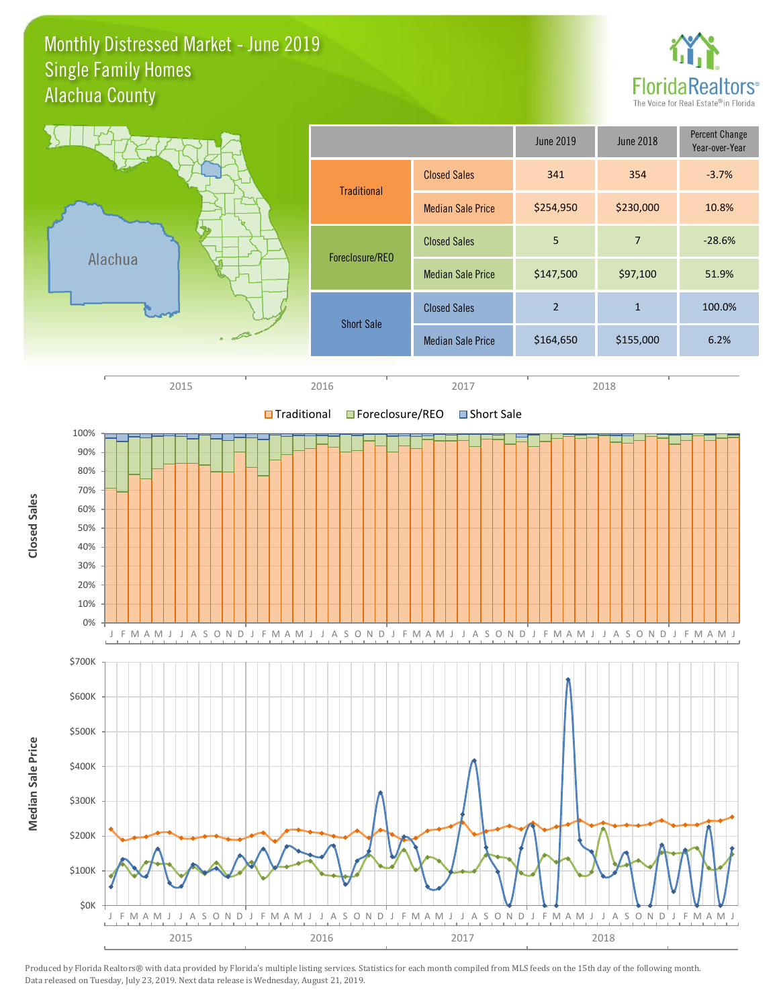### Monthly Distressed Market - June 2019 Alachua County Single Family Homes



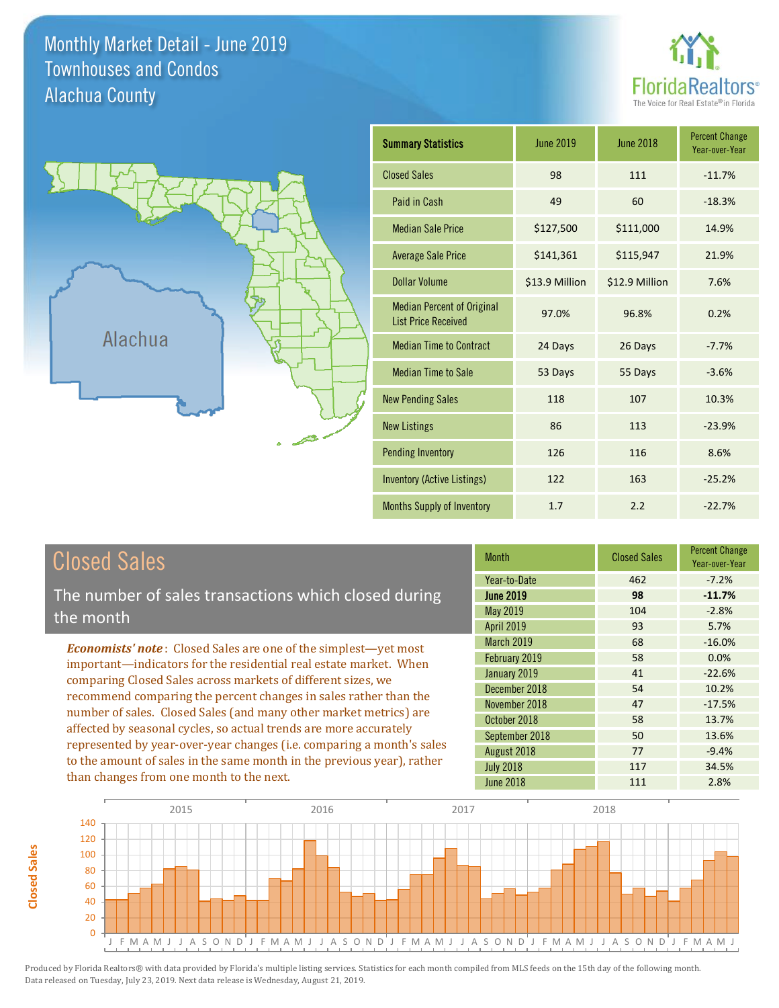Monthly Market Detail - June 2019 Alachua County Townhouses and Condos





| <b>Summary Statistics</b>                                       | <b>June 2019</b> | <b>June 2018</b> | <b>Percent Change</b><br>Year-over-Year |
|-----------------------------------------------------------------|------------------|------------------|-----------------------------------------|
| <b>Closed Sales</b>                                             | 98               | 111              | $-11.7%$                                |
| Paid in Cash                                                    | 49               | 60               | $-18.3%$                                |
| <b>Median Sale Price</b>                                        | \$127,500        | \$111,000        | 14.9%                                   |
| <b>Average Sale Price</b>                                       | \$141,361        | \$115,947        | 21.9%                                   |
| <b>Dollar Volume</b>                                            | \$13.9 Million   | \$12.9 Million   | 7.6%                                    |
| <b>Median Percent of Original</b><br><b>List Price Received</b> | 97.0%            | 96.8%            | 0.2%                                    |
| <b>Median Time to Contract</b>                                  | 24 Days          | 26 Days          | $-7.7%$                                 |
| <b>Median Time to Sale</b>                                      | 53 Days          | 55 Days          | $-3.6%$                                 |
| <b>New Pending Sales</b>                                        | 118              | 107              | 10.3%                                   |
| <b>New Listings</b>                                             | 86               | 113              | $-23.9%$                                |
| <b>Pending Inventory</b>                                        | 126              | 116              | 8.6%                                    |
| <b>Inventory (Active Listings)</b>                              | 122              | 163              | $-25.2%$                                |
| Months Supply of Inventory                                      | 1.7              | 2.2              | $-22.7%$                                |

# Closed Sales

The number of sales transactions which closed during the month

*Economists' note* : Closed Sales are one of the simplest—yet most important—indicators for the residential real estate market. When comparing Closed Sales across markets of different sizes, we recommend comparing the percent changes in sales rather than the number of sales. Closed Sales (and many other market metrics) are affected by seasonal cycles, so actual trends are more accurately represented by year-over-year changes (i.e. comparing a month's sales to the amount of sales in the same month in the previous year), rather than changes from one month to the next.

| <b>Month</b>      | <b>Closed Sales</b> | <b>Percent Change</b><br>Year-over-Year |
|-------------------|---------------------|-----------------------------------------|
| Year-to-Date      | 462                 | $-7.2%$                                 |
| <b>June 2019</b>  | 98                  | $-11.7%$                                |
| <b>May 2019</b>   | 104                 | $-2.8%$                                 |
| <b>April 2019</b> | 93                  | 5.7%                                    |
| <b>March 2019</b> | 68                  | $-16.0%$                                |
| February 2019     | 58                  | 0.0%                                    |
| January 2019      | 41                  | $-22.6%$                                |
| December 2018     | 54                  | 10.2%                                   |
| November 2018     | 47                  | $-17.5%$                                |
| October 2018      | 58                  | 13.7%                                   |
| September 2018    | 50                  | 13.6%                                   |
| August 2018       | 77                  | $-9.4%$                                 |
| <b>July 2018</b>  | 117                 | 34.5%                                   |
| <b>June 2018</b>  | 111                 | 2.8%                                    |

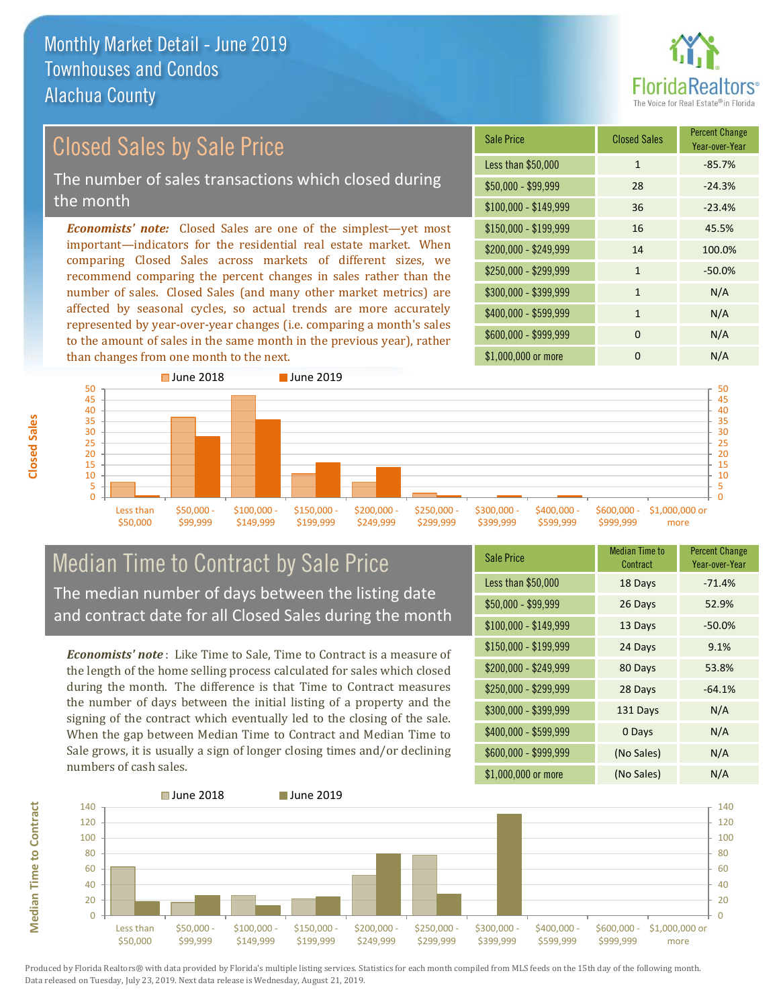

# Closed Sales by Sale Price

The number of sales transactions which closed during the month

*Economists' note:* Closed Sales are one of the simplest—yet most important—indicators for the residential real estate market. When comparing Closed Sales across markets of different sizes, we recommend comparing the percent changes in sales rather than the number of sales. Closed Sales (and many other market metrics) are affected by seasonal cycles, so actual trends are more accurately represented by year-over-year changes (i.e. comparing a month's sales to the amount of sales in the same month in the previous year), rather than changes from one month to the next.

| <b>Sale Price</b>     | <b>Closed Sales</b> | <b>Percent Change</b><br>Year-over-Year |
|-----------------------|---------------------|-----------------------------------------|
| Less than \$50,000    | $\mathbf{1}$        | $-85.7%$                                |
| $$50,000 - $99,999$   | 28                  | $-24.3%$                                |
| $$100,000 - $149,999$ | 36                  | $-23.4%$                                |
| $$150,000 - $199,999$ | 16                  | 45.5%                                   |
| \$200,000 - \$249,999 | 14                  | 100.0%                                  |
| \$250,000 - \$299,999 | $\mathbf{1}$        | $-50.0%$                                |
| \$300,000 - \$399,999 | $\mathbf{1}$        | N/A                                     |
| \$400,000 - \$599,999 | $\mathbf{1}$        | N/A                                     |
| \$600,000 - \$999,999 | $\Omega$            | N/A                                     |
| \$1,000,000 or more   | 0                   | N/A                                     |



### Median Time to Contract by Sale Price The median number of days between the listing date and contract date for all Closed Sales during the month

*Economists' note* : Like Time to Sale, Time to Contract is a measure of the length of the home selling process calculated for sales which closed during the month. The difference is that Time to Contract measures the number of days between the initial listing of a property and the signing of the contract which eventually led to the closing of the sale. When the gap between Median Time to Contract and Median Time to Sale grows, it is usually a sign of longer closing times and/or declining numbers of cash sales.

| Sale Price            | <b>Median Time to</b><br>Contract | <b>Percent Change</b><br>Year-over-Year |
|-----------------------|-----------------------------------|-----------------------------------------|
| Less than \$50,000    | 18 Days                           | $-71.4%$                                |
| $$50,000 - $99,999$   | 26 Days                           | 52.9%                                   |
| $$100,000 - $149,999$ | 13 Days                           | $-50.0%$                                |
| $$150,000 - $199,999$ | 24 Days                           | 9.1%                                    |
| \$200,000 - \$249,999 | 80 Days                           | 53.8%                                   |
| \$250,000 - \$299,999 | 28 Days                           | $-64.1%$                                |
| \$300,000 - \$399,999 | 131 Days                          | N/A                                     |
| \$400,000 - \$599,999 | 0 Days                            | N/A                                     |
| \$600,000 - \$999,999 | (No Sales)                        | N/A                                     |
| \$1,000,000 or more   | (No Sales)                        | N/A                                     |

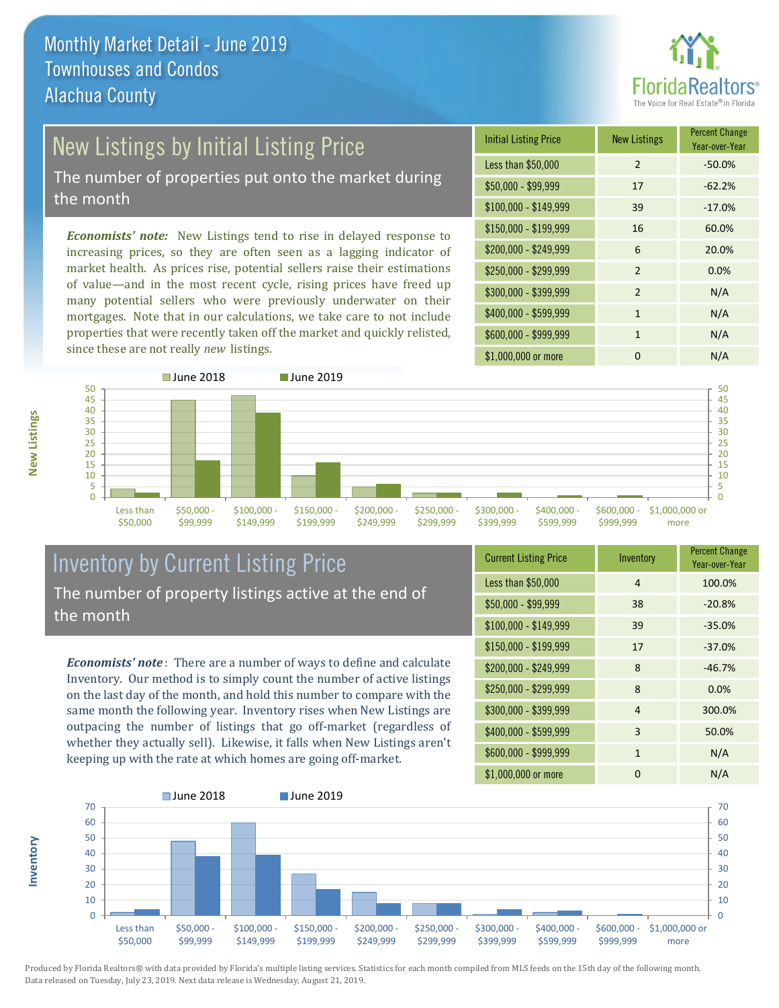

# New Listings by Initial Listing Price

The number of properties put onto the market during the month

*Economists' note:* New Listings tend to rise in delayed response to increasing prices, so they are often seen as a lagging indicator of market health. As prices rise, potential sellers raise their estimations of value—and in the most recent cycle, rising prices have freed up many potential sellers who were previously underwater on their mortgages. Note that in our calculations, we take care to not include properties that were recently taken off the market and quickly relisted, since these are not really *new* listings.

| <b>Initial Listing Price</b> | <b>New Listings</b> | <b>Percent Change</b><br>Year-over-Year |
|------------------------------|---------------------|-----------------------------------------|
| Less than \$50,000           | $\overline{2}$      | $-50.0%$                                |
| $$50,000 - $99,999$          | 17                  | $-62.2%$                                |
| $$100,000 - $149,999$        | 39                  | $-17.0%$                                |
| $$150,000 - $199,999$        | 16                  | 60.0%                                   |
| \$200,000 - \$249,999        | 6                   | 20.0%                                   |
| \$250,000 - \$299,999        | $\overline{2}$      | 0.0%                                    |
| \$300,000 - \$399,999        | $\mathfrak{p}$      | N/A                                     |
| \$400,000 - \$599,999        | $\mathbf{1}$        | N/A                                     |
| \$600,000 - \$999,999        | 1                   | N/A                                     |
| \$1,000,000 or more          | O                   | N/A                                     |



### Inventory by Current Listing Price The number of property listings active at the end of the month

*Economists' note* : There are a number of ways to define and calculate Inventory. Our method is to simply count the number of active listings on the last day of the month, and hold this number to compare with the same month the following year. Inventory rises when New Listings are outpacing the number of listings that go off-market (regardless of whether they actually sell). Likewise, it falls when New Listings aren't keeping up with the rate at which homes are going off-market.

| <b>Current Listing Price</b> | Inventory      | <b>Percent Change</b><br>Year-over-Year |
|------------------------------|----------------|-----------------------------------------|
| Less than \$50,000           | $\overline{4}$ | 100.0%                                  |
| $$50,000 - $99,999$          | 38             | $-20.8%$                                |
| $$100,000 - $149,999$        | 39             | $-35.0%$                                |
| $$150,000 - $199,999$        | 17             | $-37.0%$                                |
| \$200,000 - \$249,999        | 8              | $-46.7%$                                |
| \$250,000 - \$299,999        | 8              | 0.0%                                    |
| \$300,000 - \$399,999        | $\overline{4}$ | 300.0%                                  |
| \$400,000 - \$599,999        | 3              | 50.0%                                   |
| \$600,000 - \$999,999        | $\mathbf{1}$   | N/A                                     |
| \$1,000,000 or more          | 0              | N/A                                     |



Produced by Florida Realtors® with data provided by Florida's multiple listing services. Statistics for each month compiled from MLS feeds on the 15th day of the following month. Data released on Tuesday, July 23, 2019. Next data release is Wednesday, August 21, 2019.

**Inventory**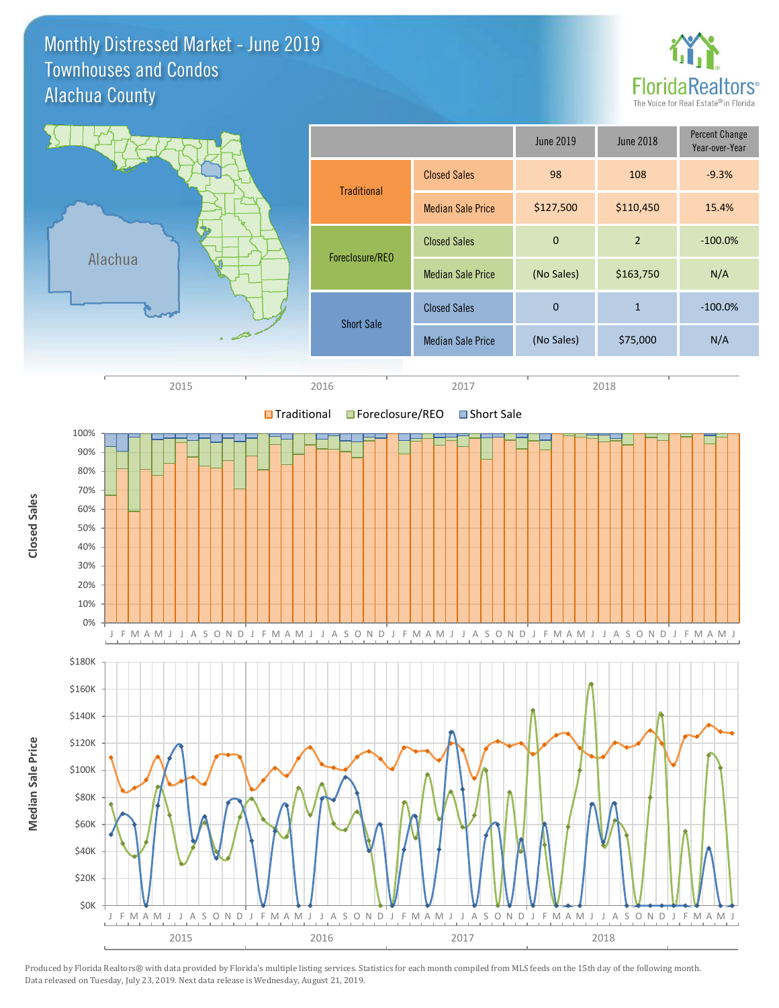Monthly Distressed Market - June 2019 Alachua County Townhouses and Condos



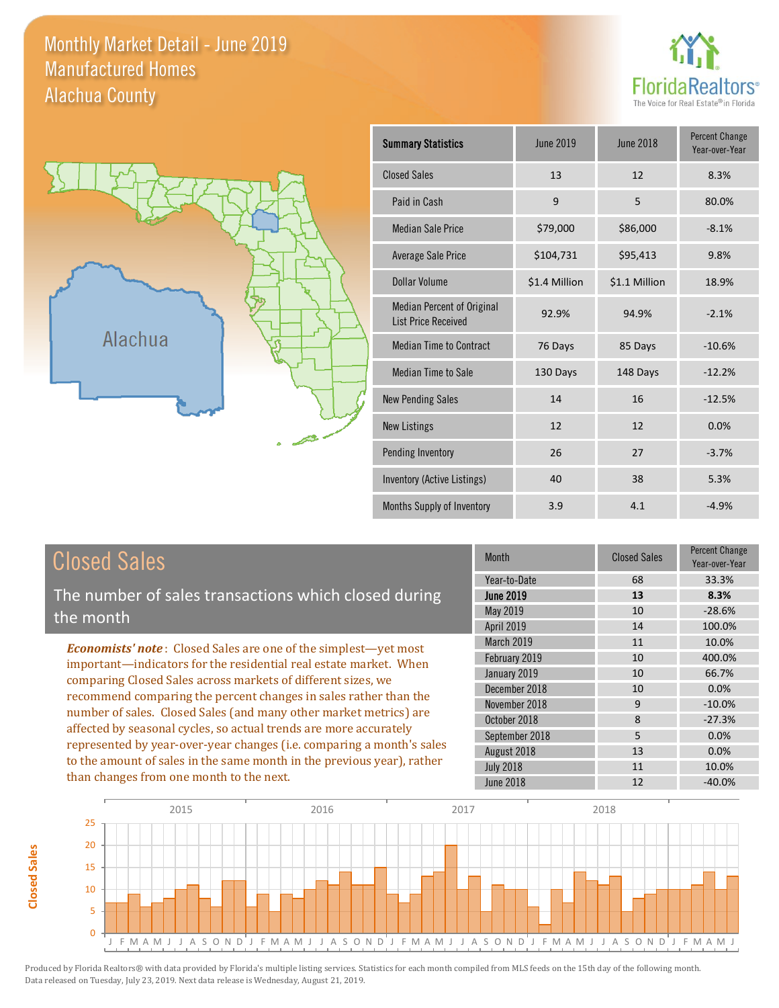Monthly Market Detail - June 2019 Alachua County Manufactured Homes





| <b>Summary Statistics</b>                                       | <b>June 2019</b> | <b>June 2018</b> | <b>Percent Change</b><br>Year-over-Year |
|-----------------------------------------------------------------|------------------|------------------|-----------------------------------------|
| <b>Closed Sales</b>                                             | 13               | 12               | 8.3%                                    |
| Paid in Cash                                                    | 9                | 5                | 80.0%                                   |
| <b>Median Sale Price</b>                                        | \$79,000         | \$86,000         | $-8.1%$                                 |
| <b>Average Sale Price</b>                                       | \$104,731        | \$95,413         | 9.8%                                    |
| Dollar Volume                                                   | \$1.4 Million    | \$1.1 Million    | 18.9%                                   |
| <b>Median Percent of Original</b><br><b>List Price Received</b> | 92.9%            | 94.9%            | $-2.1%$                                 |
| <b>Median Time to Contract</b>                                  | 76 Days          | 85 Days          | $-10.6%$                                |
| <b>Median Time to Sale</b>                                      | 130 Days         | 148 Days         | $-12.2%$                                |
| <b>New Pending Sales</b>                                        | 14               | 16               | $-12.5%$                                |
| <b>New Listings</b>                                             | 12               | 12               | 0.0%                                    |
| Pending Inventory                                               | 26               | 27               | $-3.7%$                                 |
| Inventory (Active Listings)                                     | 40               | 38               | 5.3%                                    |
| Months Supply of Inventory                                      | 3.9              | 4.1              | $-4.9%$                                 |

# Closed Sales

The number of sales transactions which closed during the month

*Economists' note* : Closed Sales are one of the simplest—yet most important—indicators for the residential real estate market. When comparing Closed Sales across markets of different sizes, we recommend comparing the percent changes in sales rather than the number of sales. Closed Sales (and many other market metrics) are affected by seasonal cycles, so actual trends are more accurately represented by year-over-year changes (i.e. comparing a month's sales to the amount of sales in the same month in the previous year), rather than changes from one month to the next.

| <b>Month</b>     | <b>Closed Sales</b> | <b>Percent Change</b><br>Year-over-Year |
|------------------|---------------------|-----------------------------------------|
| Year-to-Date     | 68                  | 33.3%                                   |
| <b>June 2019</b> | 13                  | 8.3%                                    |
| May 2019         | 10                  | $-28.6%$                                |
| April 2019       | 14                  | 100.0%                                  |
| March 2019       | 11                  | 10.0%                                   |
| February 2019    | 10                  | 400.0%                                  |
| January 2019     | 10                  | 66.7%                                   |
| December 2018    | 10                  | 0.0%                                    |
| November 2018    | 9                   | $-10.0%$                                |
| October 2018     | 8                   | $-27.3%$                                |
| September 2018   | 5                   | 0.0%                                    |
| August 2018      | 13                  | 0.0%                                    |
| <b>July 2018</b> | 11                  | 10.0%                                   |
| <b>June 2018</b> | 12                  | $-40.0%$                                |

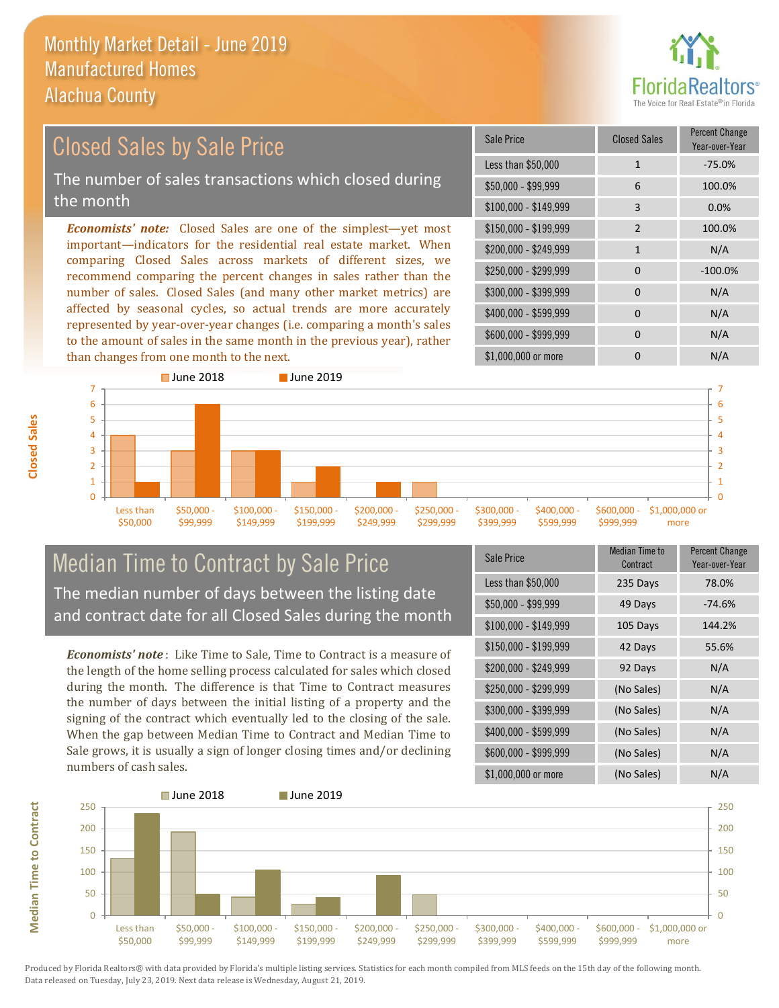than changes from one month to the next.

**Closed Sales**



### *Economists' note:* Closed Sales are one of the simplest—yet most important—indicators for the residential real estate market. When comparing Closed Sales across markets of different sizes, we recommend comparing the percent changes in sales rather than the number of sales. Closed Sales (and many other market metrics) are affected by seasonal cycles, so actual trends are more accurately represented by year-over-year changes (i.e. comparing a month's sales  $$250.000 - $299.999$  0  $-100.0\%$ \$300,000 - \$399,999 0 0 N/A  $$400,000 - $599,999$  0 N/A \$150,000 - \$199,999 2 100.0%  $$200.000 - $249.999$  1 N/A \$100,000 - \$149,999 3 0.0% Sale Price Closed Sales Percent Change Year-over-Year Less than \$50,000 1 1 -75.0% \$50,000 - \$99,999 6 100.0% Closed Sales by Sale Price The number of sales transactions which closed during the month



### Median Time to Contract by Sale Price The median number of days between the listing date and contract date for all Closed Sales during the month

to the amount of sales in the same month in the previous year), rather

*Economists' note* : Like Time to Sale, Time to Contract is a measure of the length of the home selling process calculated for sales which closed during the month. The difference is that Time to Contract measures the number of days between the initial listing of a property and the signing of the contract which eventually led to the closing of the sale. When the gap between Median Time to Contract and Median Time to Sale grows, it is usually a sign of longer closing times and/or declining numbers of cash sales.

| <b>Sale Price</b>     | <b>Median Time to</b><br>Contract | <b>Percent Change</b><br>Year-over-Year |
|-----------------------|-----------------------------------|-----------------------------------------|
| Less than \$50,000    | 235 Days                          | 78.0%                                   |
| $$50,000 - $99,999$   | 49 Days                           | $-74.6%$                                |
| $$100,000 - $149,999$ | 105 Days                          | 144.2%                                  |
| $$150,000 - $199,999$ | 42 Days                           | 55.6%                                   |
| \$200,000 - \$249,999 | 92 Days                           | N/A                                     |
| \$250,000 - \$299,999 | (No Sales)                        | N/A                                     |
| \$300,000 - \$399,999 | (No Sales)                        | N/A                                     |
| \$400,000 - \$599,999 | (No Sales)                        | N/A                                     |
| \$600,000 - \$999,999 | (No Sales)                        | N/A                                     |
| \$1,000,000 or more   | (No Sales)                        | N/A                                     |

\$1,000,000 or more 0 0 N/A

\$600,000 - \$999,999 0 0 N/A



**Median Time to Contract Median Time to Contract**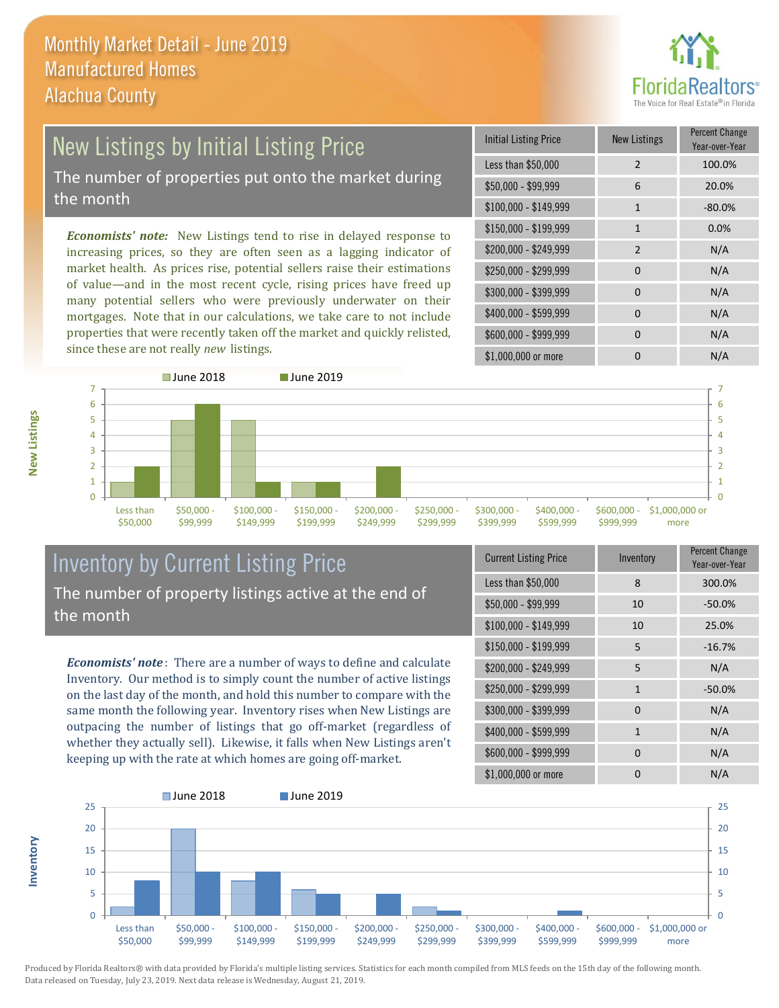

# New Listings by Initial Listing Price The number of properties put onto the market during

the month

**Inventory**

**New Listings**

*Economists' note:* New Listings tend to rise in delayed response to increasing prices, so they are often seen as a lagging indicator of market health. As prices rise, potential sellers raise their estimations of value—and in the most recent cycle, rising prices have freed up many potential sellers who were previously underwater on their mortgages. Note that in our calculations, we take care to not include properties that were recently taken off the market and quickly relisted, since these are not really *new* listings.

| Initial Listing Price | New Listings   | <b>Percent Change</b><br>Year-over-Year |
|-----------------------|----------------|-----------------------------------------|
| Less than \$50,000    | $\overline{2}$ | 100.0%                                  |
| $$50,000 - $99,999$   | 6              | 20.0%                                   |
| $$100,000 - $149,999$ | $\mathbf{1}$   | $-80.0%$                                |
| $$150,000 - $199,999$ | $\mathbf{1}$   | 0.0%                                    |
| \$200,000 - \$249,999 | $\overline{2}$ | N/A                                     |
| \$250,000 - \$299,999 | $\Omega$       | N/A                                     |
| \$300,000 - \$399,999 | 0              | N/A                                     |
| \$400,000 - \$599,999 | $\Omega$       | N/A                                     |
| \$600,000 - \$999,999 | $\Omega$       | N/A                                     |
| \$1,000,000 or more   |                | N/A                                     |



### Inventory by Current Listing Price The number of property listings active at the end of the month

*Economists' note* : There are a number of ways to define and calculate Inventory. Our method is to simply count the number of active listings on the last day of the month, and hold this number to compare with the same month the following year. Inventory rises when New Listings are outpacing the number of listings that go off-market (regardless of whether they actually sell). Likewise, it falls when New Listings aren't keeping up with the rate at which homes are going off-market.

| <b>Current Listing Price</b> | Inventory    | Percent Change<br>Year-over-Year |
|------------------------------|--------------|----------------------------------|
| Less than \$50,000           | 8            | 300.0%                           |
| $$50,000 - $99,999$          | 10           | $-50.0%$                         |
| $$100,000 - $149,999$        | 10           | 25.0%                            |
| $$150,000 - $199,999$        | 5            | $-16.7%$                         |
| \$200,000 - \$249,999        | 5            | N/A                              |
| \$250,000 - \$299,999        | $\mathbf{1}$ | $-50.0%$                         |
| \$300,000 - \$399,999        | $\Omega$     | N/A                              |
| \$400,000 - \$599,999        | $\mathbf{1}$ | N/A                              |
| \$600,000 - \$999,999        | $\Omega$     | N/A                              |
| \$1,000,000 or more          | 0            | N/A                              |